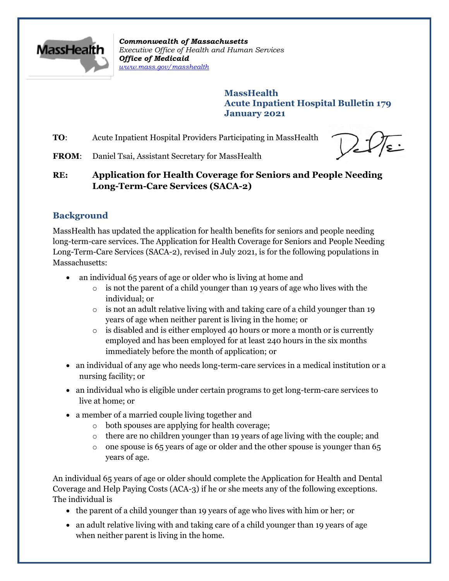

*Commonwealth of Massachusetts Executive Office of Health and Human Services Office of Medicaid [www.mass.gov/masshealth](http://www.mass.gov/masshealth)*

> **MassHealth Acute Inpatient Hospital Bulletin 179 January 2021**

**TO:** Acute Inpatient Hospital Providers Participating in MassHealth

**FROM**: Daniel Tsai, Assistant Secretary for MassHealth

# **RE: Application for Health Coverage for Seniors and People Needing Long-Term-Care Services (SACA-2)**

## **Background**

MassHealth has updated the application for health benefits for seniors and people needing long-term-care services. The Application for Health Coverage for Seniors and People Needing Long-Term-Care Services (SACA-2), revised in July 2021, is for the following populations in Massachusetts:

- an individual 65 years of age or older who is living at home and
	- $\circ$  is not the parent of a child younger than 19 years of age who lives with the individual; or
	- $\circ$  is not an adult relative living with and taking care of a child younger than 19 years of age when neither parent is living in the home; or
	- $\circ$  is disabled and is either employed 40 hours or more a month or is currently employed and has been employed for at least 240 hours in the six months immediately before the month of application; or
- an individual of any age who needs long-term-care services in a medical institution or a nursing facility; or
- an individual who is eligible under certain programs to get long-term-care services to live at home; or
- a member of a married couple living together and
	- o both spouses are applying for health coverage;
	- $\circ$  there are no children younger than 19 years of age living with the couple; and
	- $\circ$  one spouse is 65 years of age or older and the other spouse is younger than 65 years of age.

An individual 65 years of age or older should complete the Application for Health and Dental Coverage and Help Paying Costs (ACA-3) if he or she meets any of the following exceptions. The individual is

- the parent of a child younger than 19 years of age who lives with him or her; or
- an adult relative living with and taking care of a child younger than 19 years of age when neither parent is living in the home.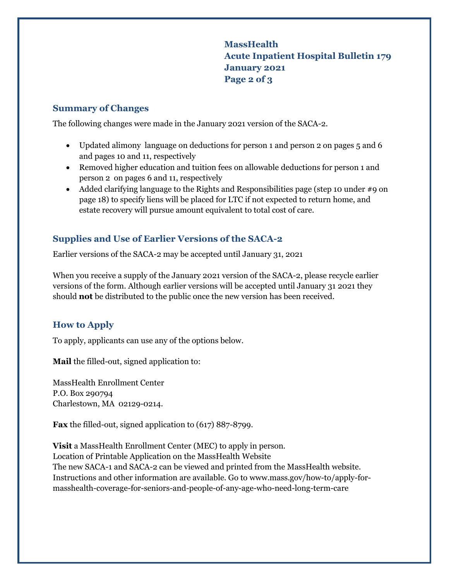**MassHealth Acute Inpatient Hospital Bulletin 179 January 2021 Page 2 of 3**

#### **Summary of Changes**

The following changes were made in the January 2021 version of the SACA-2.

- Updated alimony language on deductions for person 1 and person 2 on pages 5 and 6 and pages 10 and 11, respectively
- Removed higher education and tuition fees on allowable deductions for person 1 and person 2 on pages 6 and 11, respectively
- Added clarifying language to the Rights and Responsibilities page (step 10 under #9 on page 18) to specify liens will be placed for LTC if not expected to return home, and estate recovery will pursue amount equivalent to total cost of care.

## **Supplies and Use of Earlier Versions of the SACA-2**

Earlier versions of the SACA-2 may be accepted until January 31, 2021

When you receive a supply of the January 2021 version of the SACA-2, please recycle earlier versions of the form. Although earlier versions will be accepted until January 31 2021 they should **not** be distributed to the public once the new version has been received.

### **How to Apply**

To apply, applicants can use any of the options below.

**Mail** the filled-out, signed application to:

MassHealth Enrollment Center P.O. Box 290794 Charlestown, MA 02129-0214.

**Fax** the filled-out, signed application to (617) 887-8799.

**Visit** a [MassHealth Enrollment Center \(MEC\)](https://www.mass.gov/service-details/masshealth-enrollment-centers-mecs) to apply in person. Location of Printable Application on the MassHealth Website The new SACA-1 and SACA-2 can be viewed and printed from the MassHealth website. Instructions and other information are available. Go to [www.mass.gov/how-to/apply-for](https://www.mass.gov/how-to/apply-for-masshealth-coverage-for-seniors-and-people-of-any-age-who-need-long-term-care)[masshealth-coverage-for-seniors-and-people-of-any-age-who-need-long-term-care](https://www.mass.gov/how-to/apply-for-masshealth-coverage-for-seniors-and-people-of-any-age-who-need-long-term-care)